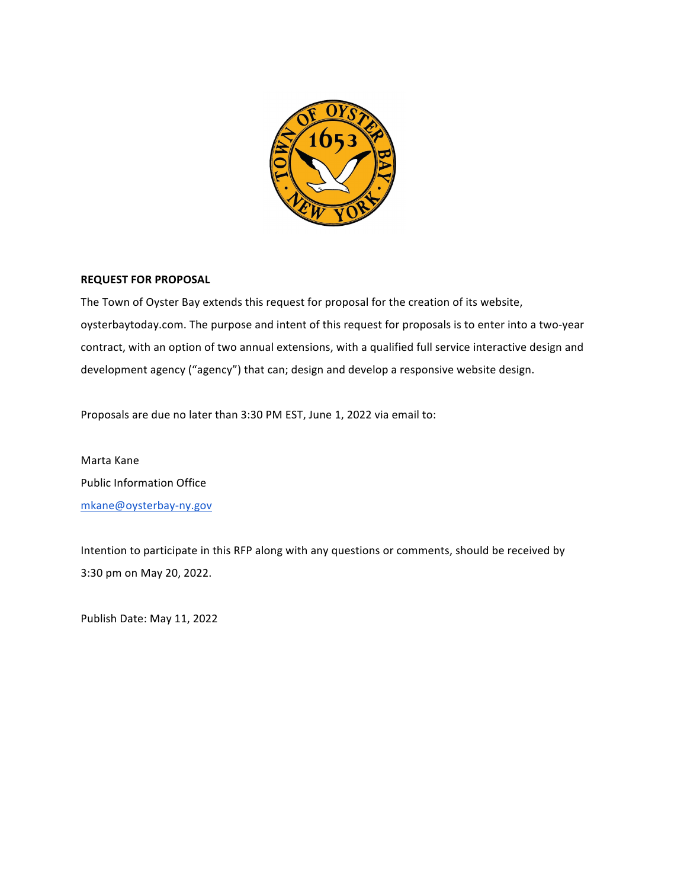

#### **REQUEST FOR PROPOSAL**

The Town of Oyster Bay extends this request for proposal for the creation of its website, oysterbaytoday.com. The purpose and intent of this request for proposals is to enter into a two-year contract, with an option of two annual extensions, with a qualified full service interactive design and development agency ("agency") that can; design and develop a responsive website design.

Proposals are due no later than 3:30 PM EST, June 1, 2022 via email to:

Marta Kane Public Information Office mkane@oysterbay-ny.gov

Intention to participate in this RFP along with any questions or comments, should be received by 3:30 pm on May 20, 2022.

Publish Date: May 11, 2022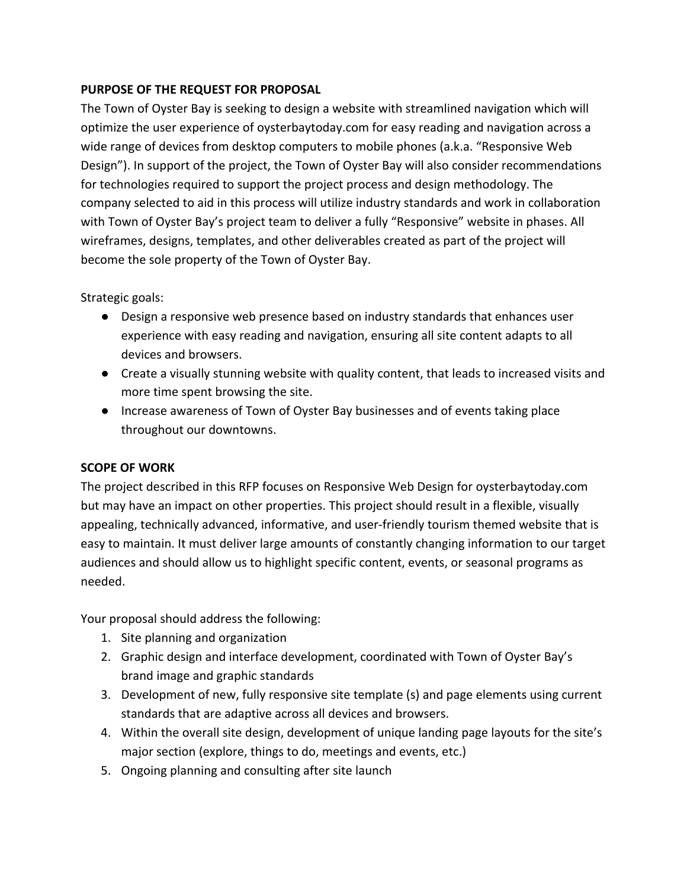# **PURPOSE OF THE REQUEST FOR PROPOSAL**

The Town of Oyster Bay is seeking to design a website with streamlined navigation which will optimize the user experience of oysterbaytoday.com for easy reading and navigation across a wide range of devices from desktop computers to mobile phones (a.k.a. "Responsive Web Design"). In support of the project, the Town of Oyster Bay will also consider recommendations for technologies required to support the project process and design methodology. The company selected to aid in this process will utilize industry standards and work in collaboration with Town of Oyster Bay's project team to deliver a fully "Responsive" website in phases. All wireframes, designs, templates, and other deliverables created as part of the project will become the sole property of the Town of Oyster Bay.

Strategic goals:

- Design a responsive web presence based on industry standards that enhances user experience with easy reading and navigation, ensuring all site content adapts to all devices and browsers.
- Create a visually stunning website with quality content, that leads to increased visits and more time spent browsing the site.
- Increase awareness of Town of Oyster Bay businesses and of events taking place throughout our downtowns.

#### **SCOPE OF WORK**

The project described in this RFP focuses on Responsive Web Design for oysterbaytoday.com but may have an impact on other properties. This project should result in a flexible, visually appealing, technically advanced, informative, and user-friendly tourism themed website that is easy to maintain. It must deliver large amounts of constantly changing information to our target audiences and should allow us to highlight specific content, events, or seasonal programs as needed.

Your proposal should address the following:

- 1. Site planning and organization
- 2. Graphic design and interface development, coordinated with Town of Oyster Bay's brand image and graphic standards
- 3. Development of new, fully responsive site template (s) and page elements using current standards that are adaptive across all devices and browsers.
- 4. Within the overall site design, development of unique landing page layouts for the site's major section (explore, things to do, meetings and events, etc.)
- 5. Ongoing planning and consulting after site launch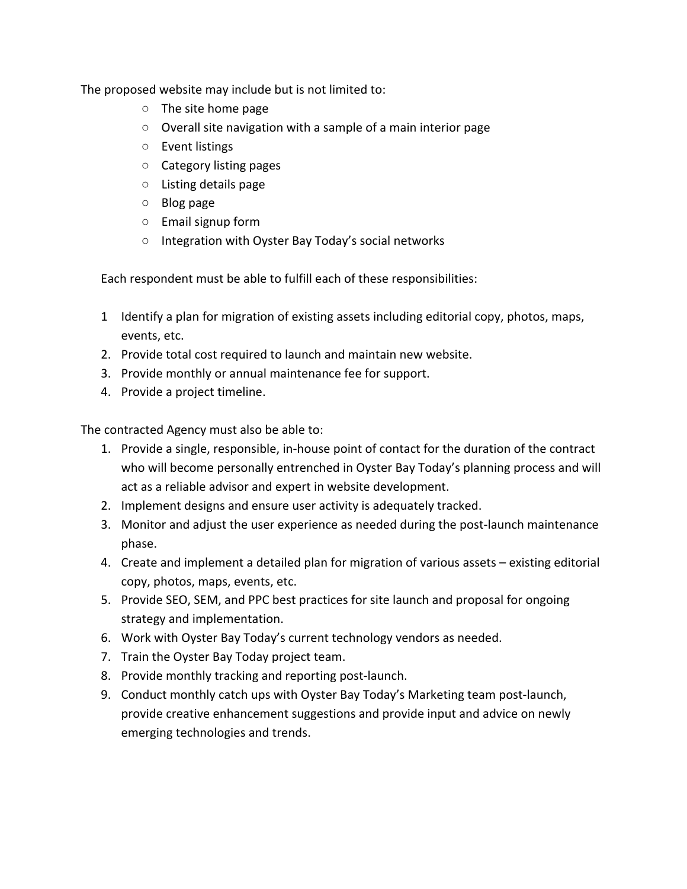The proposed website may include but is not limited to:

- $\circ$  The site home page
- $\circ$  Overall site navigation with a sample of a main interior page
- Event listings
- Category listing pages
- Listing details page
- Blog page
- $\circ$  Email signup form
- Integration with Oyster Bay Today's social networks

Each respondent must be able to fulfill each of these responsibilities:

- 1 Identify a plan for migration of existing assets including editorial copy, photos, maps, events, etc.
- 2. Provide total cost required to launch and maintain new website.
- 3. Provide monthly or annual maintenance fee for support.
- 4. Provide a project timeline.

The contracted Agency must also be able to:

- 1. Provide a single, responsible, in-house point of contact for the duration of the contract who will become personally entrenched in Oyster Bay Today's planning process and will act as a reliable advisor and expert in website development.
- 2. Implement designs and ensure user activity is adequately tracked.
- 3. Monitor and adjust the user experience as needed during the post-launch maintenance phase.
- 4. Create and implement a detailed plan for migration of various assets existing editorial copy, photos, maps, events, etc.
- 5. Provide SEO, SEM, and PPC best practices for site launch and proposal for ongoing strategy and implementation.
- 6. Work with Oyster Bay Today's current technology vendors as needed.
- 7. Train the Oyster Bay Today project team.
- 8. Provide monthly tracking and reporting post-launch.
- 9. Conduct monthly catch ups with Oyster Bay Today's Marketing team post-launch, provide creative enhancement suggestions and provide input and advice on newly emerging technologies and trends.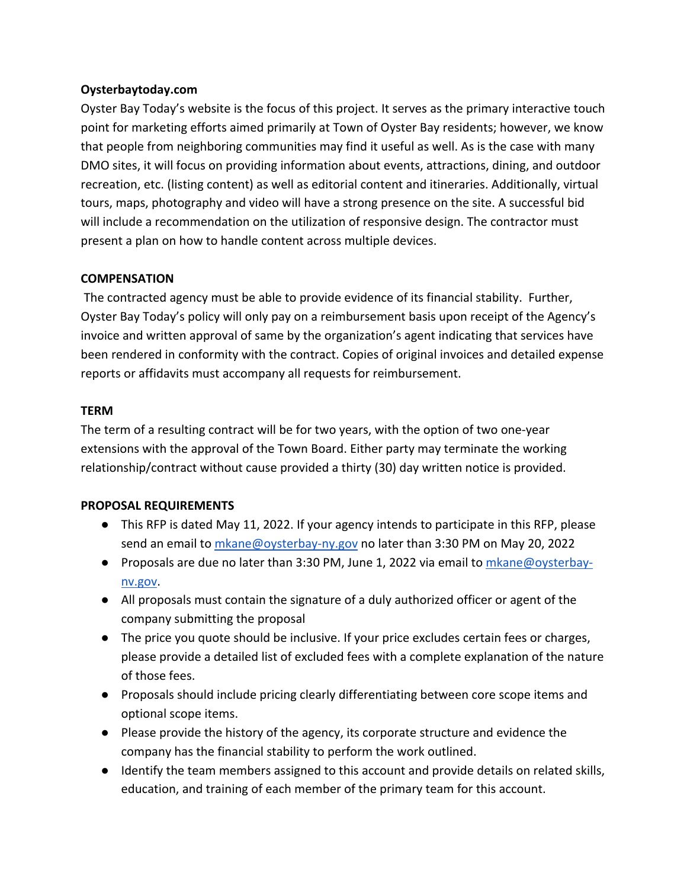### **Oysterbaytoday.com**

Oyster Bay Today's website is the focus of this project. It serves as the primary interactive touch point for marketing efforts aimed primarily at Town of Oyster Bay residents; however, we know that people from neighboring communities may find it useful as well. As is the case with many DMO sites, it will focus on providing information about events, attractions, dining, and outdoor recreation, etc. (listing content) as well as editorial content and itineraries. Additionally, virtual tours, maps, photography and video will have a strong presence on the site. A successful bid will include a recommendation on the utilization of responsive design. The contractor must present a plan on how to handle content across multiple devices.

### **COMPENSATION**

The contracted agency must be able to provide evidence of its financial stability. Further, Oyster Bay Today's policy will only pay on a reimbursement basis upon receipt of the Agency's invoice and written approval of same by the organization's agent indicating that services have been rendered in conformity with the contract. Copies of original invoices and detailed expense reports or affidavits must accompany all requests for reimbursement.

### **TERM**

The term of a resulting contract will be for two years, with the option of two one-year extensions with the approval of the Town Board. Either party may terminate the working relationship/contract without cause provided a thirty (30) day written notice is provided.

# **PROPOSAL REQUIREMENTS**

- This RFP is dated May 11, 2022. If your agency intends to participate in this RFP, please send an email to mkane@oysterbay-ny.gov no later than 3:30 PM on May 20, 2022
- Proposals are due no later than 3:30 PM, June 1, 2022 via email to mkane@oysterbaynv.gov.
- All proposals must contain the signature of a duly authorized officer or agent of the company submitting the proposal
- The price you quote should be inclusive. If your price excludes certain fees or charges, please provide a detailed list of excluded fees with a complete explanation of the nature of those fees.
- Proposals should include pricing clearly differentiating between core scope items and optional scope items.
- Please provide the history of the agency, its corporate structure and evidence the company has the financial stability to perform the work outlined.
- Identify the team members assigned to this account and provide details on related skills, education, and training of each member of the primary team for this account.